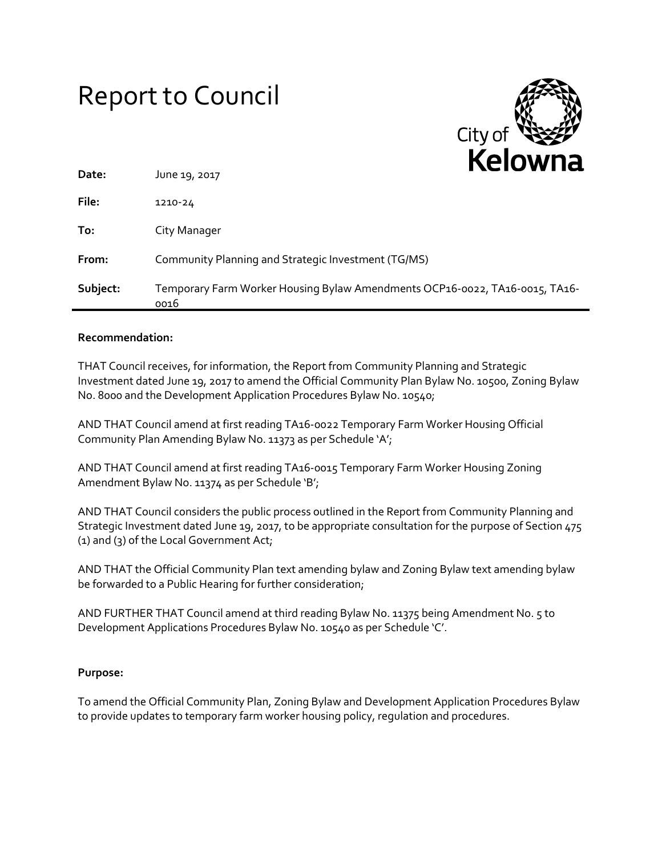# Report to Council



| Date:    | June 19, 2017                                                                       | ------- |
|----------|-------------------------------------------------------------------------------------|---------|
| File:    | 1210-24                                                                             |         |
| To:      | City Manager                                                                        |         |
| From:    | Community Planning and Strategic Investment (TG/MS)                                 |         |
| Subject: | Temporary Farm Worker Housing Bylaw Amendments OCP16-0022, TA16-0015, TA16-<br>0016 |         |

#### **Recommendation:**

THAT Council receives, for information, the Report from Community Planning and Strategic Investment dated June 19, 2017 to amend the Official Community Plan Bylaw No. 10500, Zoning Bylaw No. 8000 and the Development Application Procedures Bylaw No. 10540;

AND THAT Council amend at first reading TA16-0022 Temporary Farm Worker Housing Official Community Plan Amending Bylaw No. 11373 as per Schedule 'A';

AND THAT Council amend at first reading TA16-0015 Temporary Farm Worker Housing Zoning Amendment Bylaw No. 11374 as per Schedule 'B';

AND THAT Council considers the public process outlined in the Report from Community Planning and Strategic Investment dated June 19, 2017, to be appropriate consultation for the purpose of Section 475 (1) and (3) of the Local Government Act;

AND THAT the Official Community Plan text amending bylaw and Zoning Bylaw text amending bylaw be forwarded to a Public Hearing for further consideration;

AND FURTHER THAT Council amend at third reading Bylaw No. 11375 being Amendment No. 5 to Development Applications Procedures Bylaw No. 10540 as per Schedule 'C'.

# **Purpose:**

To amend the Official Community Plan, Zoning Bylaw and Development Application Procedures Bylaw to provide updates to temporary farm worker housing policy, regulation and procedures.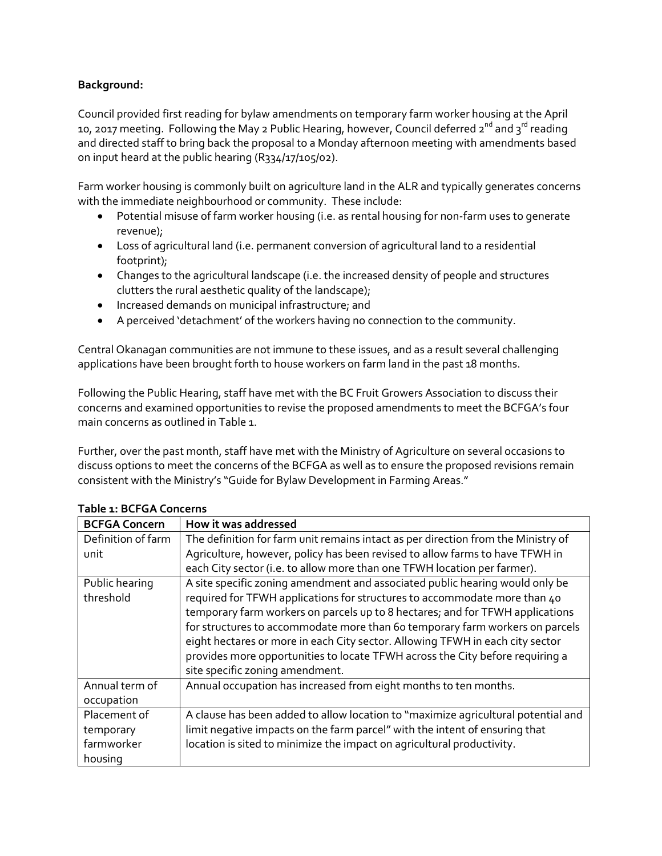# **Background:**

Council provided first reading for bylaw amendments on temporary farm worker housing at the April 10, 2017 meeting. Following the May 2 Public Hearing, however, Council deferred 2<sup>nd</sup> and 3<sup>rd</sup> reading and directed staff to bring back the proposal to a Monday afternoon meeting with amendments based on input heard at the public hearing (R334/17/105/02).

Farm worker housing is commonly built on agriculture land in the ALR and typically generates concerns with the immediate neighbourhood or community. These include:

- Potential misuse of farm worker housing (i.e. as rental housing for non-farm uses to generate revenue);
- Loss of agricultural land (i.e. permanent conversion of agricultural land to a residential footprint);
- Changes to the agricultural landscape (i.e. the increased density of people and structures clutters the rural aesthetic quality of the landscape);
- Increased demands on municipal infrastructure; and
- A perceived 'detachment' of the workers having no connection to the community.

Central Okanagan communities are not immune to these issues, and as a result several challenging applications have been brought forth to house workers on farm land in the past 18 months.

Following the Public Hearing, staff have met with the BC Fruit Growers Association to discuss their concerns and examined opportunities to revise the proposed amendments to meet the BCFGA's four main concerns as outlined in Table 1.

Further, over the past month, staff have met with the Ministry of Agriculture on several occasions to discuss options to meet the concerns of the BCFGA as well as to ensure the proposed revisions remain consistent with the Ministry's "Guide for Bylaw Development in Farming Areas."

| <b>BCFGA Concern</b>                               | How it was addressed                                                                                                                                                                                                                                                                                                                                                                                                                                                                                                            |
|----------------------------------------------------|---------------------------------------------------------------------------------------------------------------------------------------------------------------------------------------------------------------------------------------------------------------------------------------------------------------------------------------------------------------------------------------------------------------------------------------------------------------------------------------------------------------------------------|
| Definition of farm<br>unit                         | The definition for farm unit remains intact as per direction from the Ministry of<br>Agriculture, however, policy has been revised to allow farms to have TFWH in<br>each City sector (i.e. to allow more than one TFWH location per farmer).                                                                                                                                                                                                                                                                                   |
| Public hearing<br>threshold                        | A site specific zoning amendment and associated public hearing would only be<br>required for TFWH applications for structures to accommodate more than 40<br>temporary farm workers on parcels up to 8 hectares; and for TFWH applications<br>for structures to accommodate more than 60 temporary farm workers on parcels<br>eight hectares or more in each City sector. Allowing TFWH in each city sector<br>provides more opportunities to locate TFWH across the City before requiring a<br>site specific zoning amendment. |
| Annual term of<br>occupation                       | Annual occupation has increased from eight months to ten months.                                                                                                                                                                                                                                                                                                                                                                                                                                                                |
| Placement of<br>temporary<br>farmworker<br>housing | A clause has been added to allow location to "maximize agricultural potential and<br>limit negative impacts on the farm parcel" with the intent of ensuring that<br>location is sited to minimize the impact on agricultural productivity.                                                                                                                                                                                                                                                                                      |

#### **Table 1: BCFGA Concerns**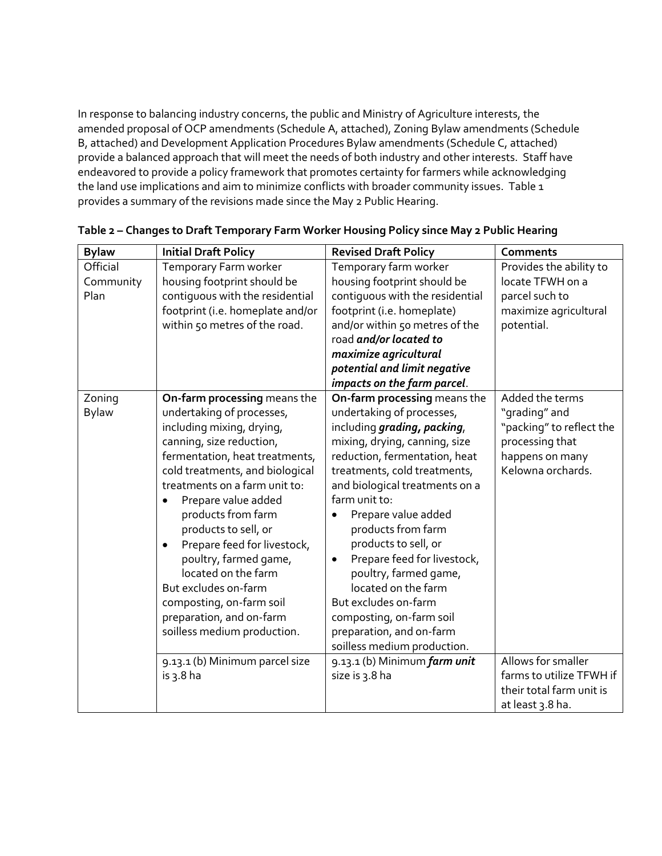In response to balancing industry concerns, the public and Ministry of Agriculture interests, the amended proposal of OCP amendments (Schedule A, attached), Zoning Bylaw amendments (Schedule B, attached) and Development Application Procedures Bylaw amendments (Schedule C, attached) provide a balanced approach that will meet the needs of both industry and other interests. Staff have endeavored to provide a policy framework that promotes certainty for farmers while acknowledging the land use implications and aim to minimize conflicts with broader community issues. Table 1 provides a summary of the revisions made since the May 2 Public Hearing.

| <b>Bylaw</b> | <b>Initial Draft Policy</b>              | <b>Revised Draft Policy</b>              | <b>Comments</b>          |
|--------------|------------------------------------------|------------------------------------------|--------------------------|
| Official     | Temporary Farm worker                    | Temporary farm worker                    | Provides the ability to  |
| Community    | housing footprint should be              | housing footprint should be              | locate TFWH on a         |
| Plan         | contiquous with the residential          | contiquous with the residential          | parcel such to           |
|              | footprint (i.e. homeplate and/or         | footprint (i.e. homeplate)               | maximize agricultural    |
|              | within 50 metres of the road.            | and/or within 50 metres of the           | potential.               |
|              |                                          | road and/or located to                   |                          |
|              |                                          | maximize agricultural                    |                          |
|              |                                          | potential and limit negative             |                          |
|              |                                          | impacts on the farm parcel.              |                          |
| Zoning       | On-farm processing means the             | On-farm processing means the             | Added the terms          |
| <b>Bylaw</b> | undertaking of processes,                | undertaking of processes,                | "grading" and            |
|              | including mixing, drying,                | including grading, packing,              | "packing" to reflect the |
|              | canning, size reduction,                 | mixing, drying, canning, size            | processing that          |
|              | fermentation, heat treatments,           | reduction, fermentation, heat            | happens on many          |
|              | cold treatments, and biological          | treatments, cold treatments,             | Kelowna orchards.        |
|              | treatments on a farm unit to:            | and biological treatments on a           |                          |
|              | Prepare value added                      | farm unit to:                            |                          |
|              | products from farm                       | Prepare value added                      |                          |
|              | products to sell, or                     | products from farm                       |                          |
|              | Prepare feed for livestock,<br>$\bullet$ | products to sell, or                     |                          |
|              | poultry, farmed game,                    | Prepare feed for livestock,<br>$\bullet$ |                          |
|              | located on the farm                      | poultry, farmed game,                    |                          |
|              | But excludes on-farm                     | located on the farm                      |                          |
|              | composting, on-farm soil                 | But excludes on-farm                     |                          |
|              | preparation, and on-farm                 | composting, on-farm soil                 |                          |
|              | soilless medium production.              | preparation, and on-farm                 |                          |
|              |                                          | soilless medium production.              |                          |
|              | 9.13.1 (b) Minimum parcel size           | 9.13.1 (b) Minimum farm unit             | Allows for smaller       |
|              | is $3.8$ ha                              | size is 3.8 ha                           | farms to utilize TFWH if |
|              |                                          |                                          | their total farm unit is |
|              |                                          |                                          | at least 3.8 ha.         |

| Table 2 - Changes to Draft Temporary Farm Worker Housing Policy since May 2 Public Hearing |  |  |  |
|--------------------------------------------------------------------------------------------|--|--|--|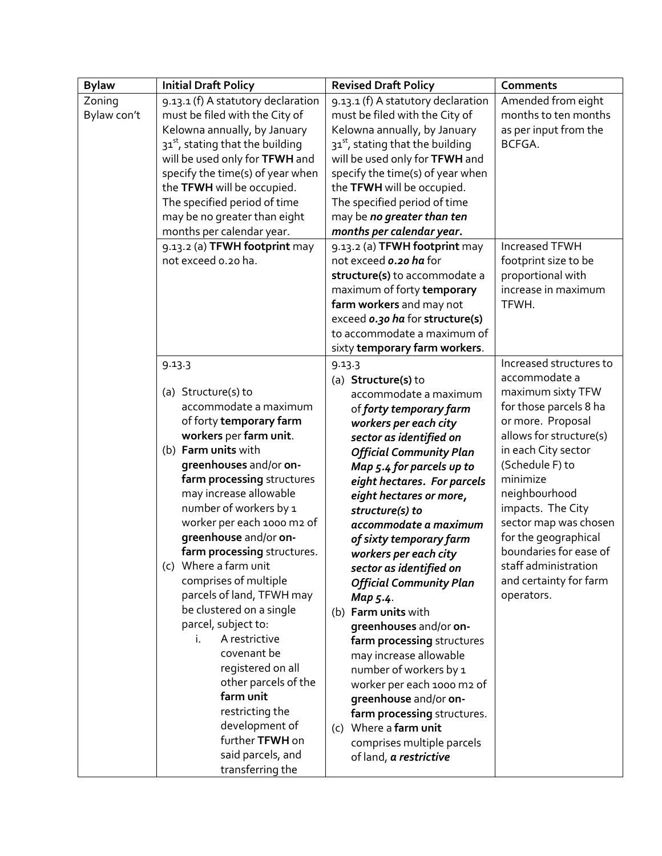| <b>Bylaw</b> | <b>Initial Draft Policy</b>           | <b>Revised Draft Policy</b>            | <b>Comments</b>         |
|--------------|---------------------------------------|----------------------------------------|-------------------------|
| Zoning       | 9.13.1 (f) A statutory declaration    | 9.13.1 (f) A statutory declaration     | Amended from eight      |
| Bylaw con't  | must be filed with the City of        | must be filed with the City of         | months to ten months    |
|              | Kelowna annually, by January          | Kelowna annually, by January           | as per input from the   |
|              | $31^{st}$ , stating that the building | $31^{st}$ , stating that the building  | BCFGA.                  |
|              | will be used only for TFWH and        | will be used only for TFWH and         |                         |
|              | specify the time(s) of year when      | specify the time(s) of year when       |                         |
|              | the TFWH will be occupied.            | the TFWH will be occupied.             |                         |
|              | The specified period of time          | The specified period of time           |                         |
|              | may be no greater than eight          | may be no greater than ten             |                         |
|              | months per calendar year.             | months per calendar year.              |                         |
|              | 9.13.2 (a) TFWH footprint may         | 9.13.2 (a) TFWH footprint may          | <b>Increased TFWH</b>   |
|              | not exceed 0.20 ha.                   | not exceed o.20 ha for                 | footprint size to be    |
|              |                                       | structure(s) to accommodate a          | proportional with       |
|              |                                       | maximum of forty temporary             | increase in maximum     |
|              |                                       | farm workers and may not               | TFWH.                   |
|              |                                       | exceed <i>o.30 ha</i> for structure(s) |                         |
|              |                                       | to accommodate a maximum of            |                         |
|              |                                       | sixty temporary farm workers.          |                         |
|              | 9.13.3                                | 9.13.3                                 | Increased structures to |
|              |                                       | (a) Structure(s) to                    | accommodate a           |
|              | (a) Structure(s) to                   | accommodate a maximum                  | maximum sixty TFW       |
|              | accommodate a maximum                 | of forty temporary farm                | for those parcels 8 ha  |
|              | of forty temporary farm               | workers per each city                  | or more. Proposal       |
|              | workers per farm unit.                | sector as identified on                | allows for structure(s) |
|              | (b) Farm units with                   | <b>Official Community Plan</b>         | in each City sector     |
|              | greenhouses and/or on-                | Map 5.4 for parcels up to              | (Schedule F) to         |
|              | farm processing structures            | eight hectares. For parcels            | minimize                |
|              | may increase allowable                | eight hectares or more,                | neighbourhood           |
|              | number of workers by 1                | structure(s) to                        | impacts. The City       |
|              | worker per each 1000 m2 of            | accommodate a maximum                  | sector map was chosen   |
|              | greenhouse and/or on-                 | of sixty temporary farm                | for the geographical    |
|              | farm processing structures.           | workers per each city                  | boundaries for ease of  |
|              | (c) Where a farm unit                 | sector as identified on                | staff administration    |
|              | comprises of multiple                 | <b>Official Community Plan</b>         | and certainty for farm  |
|              | parcels of land, TFWH may             | Map 5.4.                               | operators.              |
|              | be clustered on a single              | (b) Farm units with                    |                         |
|              | parcel, subject to:                   | greenhouses and/or on-                 |                         |
|              | A restrictive<br>i.                   | farm processing structures             |                         |
|              | covenant be                           | may increase allowable                 |                         |
|              | registered on all                     | number of workers by 1                 |                         |
|              | other parcels of the                  | worker per each 1000 m2 of             |                         |
|              | farm unit                             | greenhouse and/or on-                  |                         |
|              | restricting the                       | farm processing structures.            |                         |
|              | development of                        | (c) Where a farm unit                  |                         |
|              | further TFWH on                       | comprises multiple parcels             |                         |
|              | said parcels, and                     | of land, a restrictive                 |                         |
|              | transferring the                      |                                        |                         |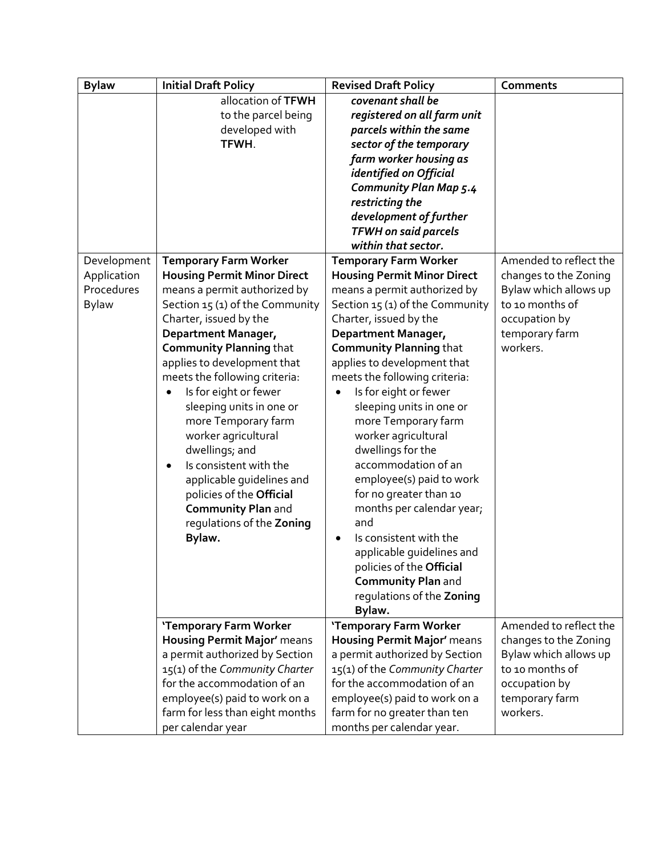| <b>Bylaw</b> | <b>Initial Draft Policy</b>         | <b>Revised Draft Policy</b>         | <b>Comments</b>        |
|--------------|-------------------------------------|-------------------------------------|------------------------|
|              | allocation of TFWH                  | covenant shall be                   |                        |
|              | to the parcel being                 | registered on all farm unit         |                        |
|              | developed with                      | parcels within the same             |                        |
|              | TFWH.                               | sector of the temporary             |                        |
|              |                                     | farm worker housing as              |                        |
|              |                                     | identified on Official              |                        |
|              |                                     | <b>Community Plan Map 5.4</b>       |                        |
|              |                                     | restricting the                     |                        |
|              |                                     | development of further              |                        |
|              |                                     | <b>TFWH on said parcels</b>         |                        |
|              |                                     | within that sector.                 |                        |
| Development  | <b>Temporary Farm Worker</b>        | <b>Temporary Farm Worker</b>        | Amended to reflect the |
| Application  | <b>Housing Permit Minor Direct</b>  | <b>Housing Permit Minor Direct</b>  | changes to the Zoning  |
| Procedures   | means a permit authorized by        | means a permit authorized by        | Bylaw which allows up  |
| <b>Bylaw</b> | Section 15 (1) of the Community     | Section 15 (1) of the Community     | to 10 months of        |
|              | Charter, issued by the              | Charter, issued by the              | occupation by          |
|              | Department Manager,                 | Department Manager,                 | temporary farm         |
|              | <b>Community Planning that</b>      | <b>Community Planning that</b>      | workers.               |
|              | applies to development that         | applies to development that         |                        |
|              | meets the following criteria:       | meets the following criteria:       |                        |
|              | Is for eight or fewer<br>$\bullet$  | Is for eight or fewer<br>$\bullet$  |                        |
|              | sleeping units in one or            | sleeping units in one or            |                        |
|              | more Temporary farm                 | more Temporary farm                 |                        |
|              | worker agricultural                 | worker agricultural                 |                        |
|              | dwellings; and                      | dwellings for the                   |                        |
|              | Is consistent with the<br>$\bullet$ | accommodation of an                 |                        |
|              | applicable guidelines and           | employee(s) paid to work            |                        |
|              | policies of the Official            | for no greater than 10              |                        |
|              | <b>Community Plan and</b>           | months per calendar year;           |                        |
|              | regulations of the Zoning           | and                                 |                        |
|              | Bylaw.                              | Is consistent with the<br>$\bullet$ |                        |
|              |                                     | applicable guidelines and           |                        |
|              |                                     | policies of the Official            |                        |
|              |                                     | <b>Community Plan and</b>           |                        |
|              |                                     | regulations of the Zoning           |                        |
|              |                                     | Bylaw.                              |                        |
|              | 'Temporary Farm Worker              | 'Temporary Farm Worker              | Amended to reflect the |
|              | <b>Housing Permit Major'</b> means  | <b>Housing Permit Major'</b> means  | changes to the Zoning  |
|              | a permit authorized by Section      | a permit authorized by Section      | Bylaw which allows up  |
|              | 15(1) of the Community Charter      | 15(1) of the Community Charter      | to 10 months of        |
|              | for the accommodation of an         | for the accommodation of an         | occupation by          |
|              | employee(s) paid to work on a       | employee(s) paid to work on a       | temporary farm         |
|              | farm for less than eight months     | farm for no greater than ten        | workers.               |
|              | per calendar year                   | months per calendar year.           |                        |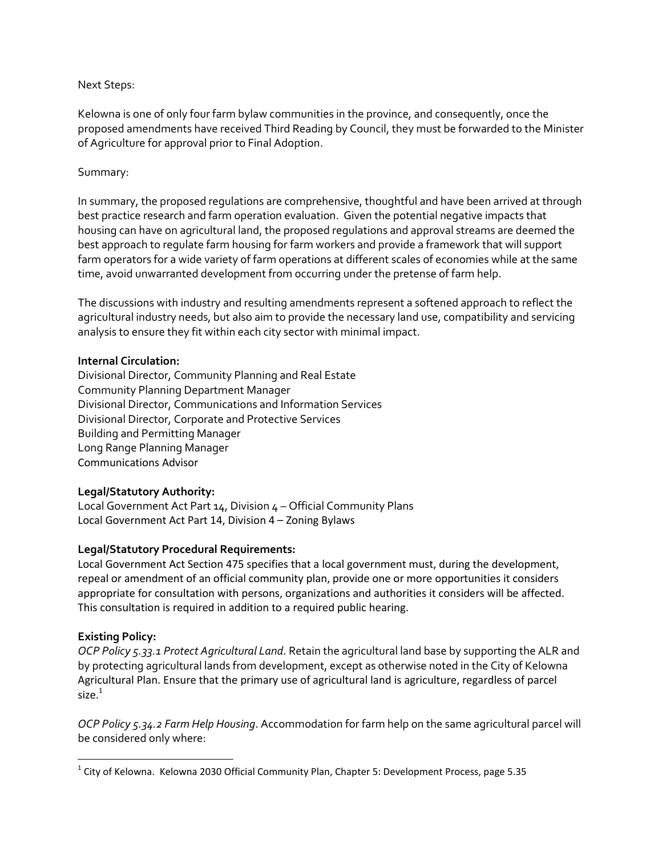#### Next Steps:

Kelowna is one of only four farm bylaw communities in the province, and consequently, once the proposed amendments have received Third Reading by Council, they must be forwarded to the Minister of Agriculture for approval prior to Final Adoption.

# Summary:

In summary, the proposed regulations are comprehensive, thoughtful and have been arrived at through best practice research and farm operation evaluation. Given the potential negative impacts that housing can have on agricultural land, the proposed regulations and approval streams are deemed the best approach to regulate farm housing for farm workers and provide a framework that will support farm operators for a wide variety of farm operations at different scales of economies while at the same time, avoid unwarranted development from occurring under the pretense of farm help.

The discussions with industry and resulting amendments represent a softened approach to reflect the agricultural industry needs, but also aim to provide the necessary land use, compatibility and servicing analysis to ensure they fit within each city sector with minimal impact.

#### **Internal Circulation:**

Divisional Director, Community Planning and Real Estate Community Planning Department Manager Divisional Director, Communications and Information Services Divisional Director, Corporate and Protective Services Building and Permitting Manager Long Range Planning Manager Communications Advisor

# **Legal/Statutory Authority:**

Local Government Act Part 14, Division 4 – Official Community Plans Local Government Act Part 14, Division 4 – Zoning Bylaws

# **Legal/Statutory Procedural Requirements:**

Local Government Act Section 475 specifies that a local government must, during the development, repeal or amendment of an official community plan, provide one or more opportunities it considers appropriate for consultation with persons, organizations and authorities it considers will be affected. This consultation is required in addition to a required public hearing.

# **Existing Policy:**

 $\overline{\phantom{a}}$ 

*OCP Policy 5.33.1 Protect Agricultural Land*. Retain the agricultural land base by supporting the ALR and by protecting agricultural lands from development, except as otherwise noted in the City of Kelowna Agricultural Plan. Ensure that the primary use of agricultural land is agriculture, regardless of parcel size $<sup>1</sup>$ </sup>

*OCP Policy 5.34.2 Farm Help Housing*. Accommodation for farm help on the same agricultural parcel will be considered only where:

 $^{1}$  City of Kelowna. Kelowna 2030 Official Community Plan, Chapter 5: Development Process, page 5.35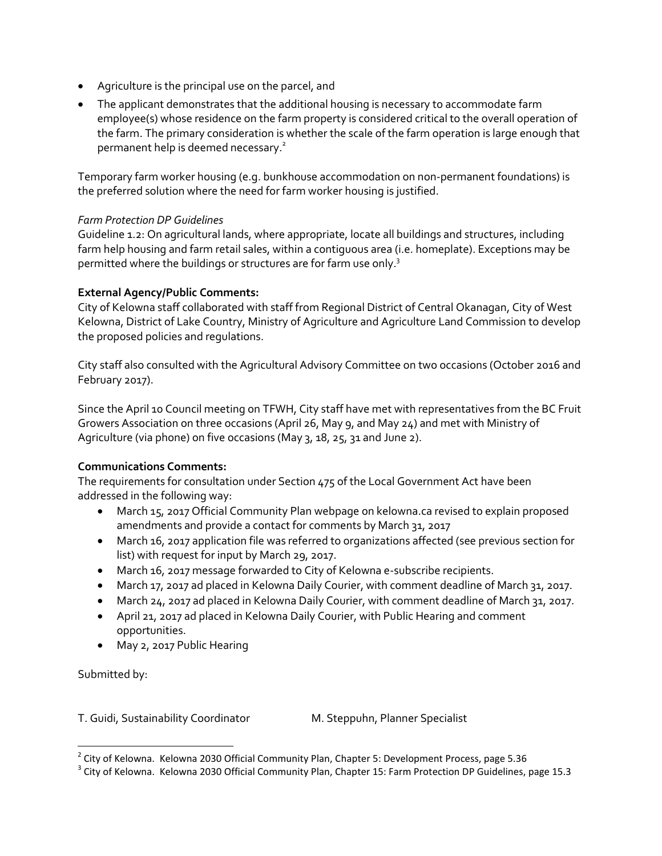- Agriculture is the principal use on the parcel, and
- The applicant demonstrates that the additional housing is necessary to accommodate farm employee(s) whose residence on the farm property is considered critical to the overall operation of the farm. The primary consideration is whether the scale of the farm operation is large enough that permanent help is deemed necessary.<sup>2</sup>

Temporary farm worker housing (e.g. bunkhouse accommodation on non-permanent foundations) is the preferred solution where the need for farm worker housing is justified.

#### *Farm Protection DP Guidelines*

Guideline 1.2: On agricultural lands, where appropriate, locate all buildings and structures, including farm help housing and farm retail sales, within a contiguous area (i.e. homeplate). Exceptions may be permitted where the buildings or structures are for farm use only.<sup>3</sup>

# **External Agency/Public Comments:**

City of Kelowna staff collaborated with staff from Regional District of Central Okanagan, City of West Kelowna, District of Lake Country, Ministry of Agriculture and Agriculture Land Commission to develop the proposed policies and regulations.

City staff also consulted with the Agricultural Advisory Committee on two occasions (October 2016 and February 2017).

Since the April 10 Council meeting on TFWH, City staff have met with representatives from the BC Fruit Growers Association on three occasions (April 26, May 9, and May 24) and met with Ministry of Agriculture (via phone) on five occasions (May 3, 18, 25, 31 and June 2).

# **Communications Comments:**

The requirements for consultation under Section 475 of the Local Government Act have been addressed in the following way:

- March 15, 2017 Official Community Plan webpage on kelowna.ca revised to explain proposed amendments and provide a contact for comments by March 31, 2017
- March 16, 2017 application file was referred to organizations affected (see previous section for list) with request for input by March 29, 2017.
- March 16, 2017 message forwarded to City of Kelowna e-subscribe recipients.
- March 17, 2017 ad placed in Kelowna Daily Courier, with comment deadline of March 31, 2017.
- March 24, 2017 ad placed in Kelowna Daily Courier, with comment deadline of March 31, 2017.
- April 21, 2017 ad placed in Kelowna Daily Courier, with Public Hearing and comment opportunities.
- May 2, 2017 Public Hearing

Submitted by:

l

T. Guidi, Sustainability Coordinator M. Steppuhn, Planner Specialist

 $^{2}$  City of Kelowna. Kelowna 2030 Official Community Plan, Chapter 5: Development Process, page 5.36

 $^3$  City of Kelowna. Kelowna 2030 Official Community Plan, Chapter 15: Farm Protection DP Guidelines, page 15.3